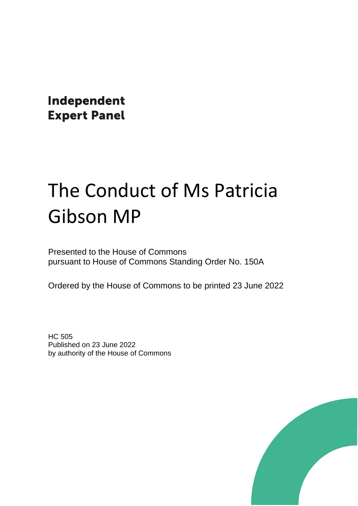Independent **Expert Panel** 

# The Conduct of Ms Patricia Gibson MP

Presented to the House of Commons pursuant to House of Commons Standing Order No. 150A

Ordered by the House of Commons to be printed 23 June 2022

HC 505 Published on 23 June 2022 by authority of the House of Commons

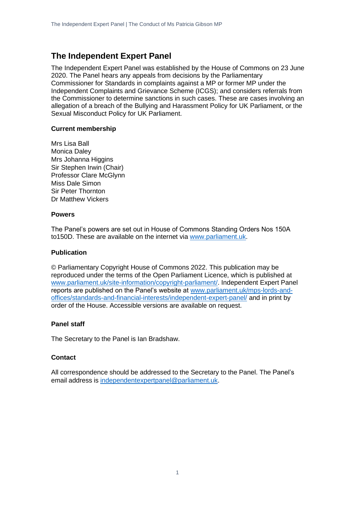### **The Independent Expert Panel**

The Independent Expert Panel was established by the House of Commons on 23 June 2020. The Panel hears any appeals from decisions by the Parliamentary Commissioner for Standards in complaints against a MP or former MP under the Independent Complaints and Grievance Scheme (ICGS); and considers referrals from the Commissioner to determine sanctions in such cases. These are cases involving an allegation of a breach of the Bullying and Harassment Policy for UK Parliament, or the Sexual Misconduct Policy for UK Parliament.

#### **Current membership**

Mrs Lisa Ball Monica Daley Mrs Johanna Higgins Sir Stephen Irwin (Chair) Professor Clare McGlynn Miss Dale Simon Sir Peter Thornton Dr Matthew Vickers

#### **Powers**

The Panel's powers are set out in House of Commons Standing Orders Nos 150A to150D. These are available on the internet via [www.parliament.uk.](http://www.parliament.uk/)

#### **Publication**

© Parliamentary Copyright House of Commons 2022. This publication may be reproduced under the terms of the Open Parliament Licence, which is published at [www.parliament.uk/site-information/copyright-parliament/.](http://www.parliament.uk/site-information/copyright-parliament/) Independent Expert Panel reports are published on the Panel's website at [www.parliament.uk/mps-lords-and](http://www.parliament.uk/mps-lords-and-offices/standards-and-financial-interests/independent-expert-panel/)[offices/standards-and-financial-interests/independent-expert-panel/](http://www.parliament.uk/mps-lords-and-offices/standards-and-financial-interests/independent-expert-panel/) and in print by order of the House. Accessible versions are available on request.

#### **Panel staff**

The Secretary to the Panel is Ian Bradshaw.

#### **Contact**

All correspondence should be addressed to the Secretary to the Panel. The Panel's email address is [independentexpertpanel@parliament.uk.](mailto:independentexpertpanel@parliament.uk)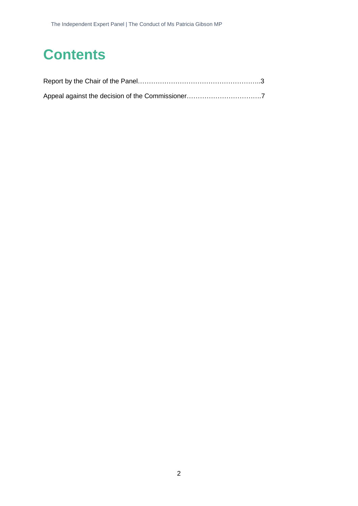## **Contents**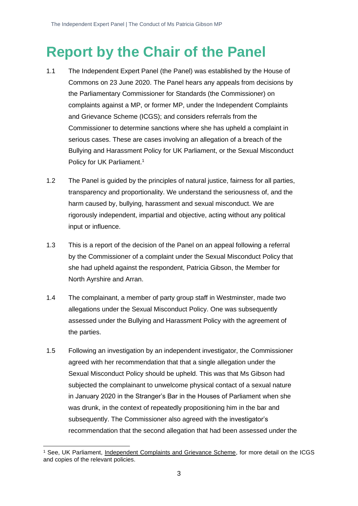### **Report by the Chair of the Panel**

- 1.1 The Independent Expert Panel (the Panel) was established by the House of Commons on 23 June 2020. The Panel hears any appeals from decisions by the Parliamentary Commissioner for Standards (the Commissioner) on complaints against a MP, or former MP, under the Independent Complaints and Grievance Scheme (ICGS); and considers referrals from the Commissioner to determine sanctions where she has upheld a complaint in serious cases. These are cases involving an allegation of a breach of the Bullying and Harassment Policy for UK Parliament, or the Sexual Misconduct Policy for UK Parliament. 1
- 1.2 The Panel is guided by the principles of natural justice, fairness for all parties, transparency and proportionality. We understand the seriousness of, and the harm caused by, bullying, harassment and sexual misconduct. We are rigorously independent, impartial and objective, acting without any political input or influence.
- 1.3 This is a report of the decision of the Panel on an appeal following a referral by the Commissioner of a complaint under the Sexual Misconduct Policy that she had upheld against the respondent, Patricia Gibson, the Member for North Ayrshire and Arran.
- 1.4 The complainant, a member of party group staff in Westminster, made two allegations under the Sexual Misconduct Policy. One was subsequently assessed under the Bullying and Harassment Policy with the agreement of the parties.
- 1.5 Following an investigation by an independent investigator, the Commissioner agreed with her recommendation that that a single allegation under the Sexual Misconduct Policy should be upheld. This was that Ms Gibson had subjected the complainant to unwelcome physical contact of a sexual nature in January 2020 in the Stranger's Bar in the Houses of Parliament when she was drunk, in the context of repeatedly propositioning him in the bar and subsequently. The Commissioner also agreed with the investigator's recommendation that the second allegation that had been assessed under the

<sup>1</sup> See, UK Parliament, [Independent Complaints and Grievance Scheme,](https://www.parliament.uk/about/independent-complaints-and-grievance-scheme/) for more detail on the ICGS and copies of the relevant policies.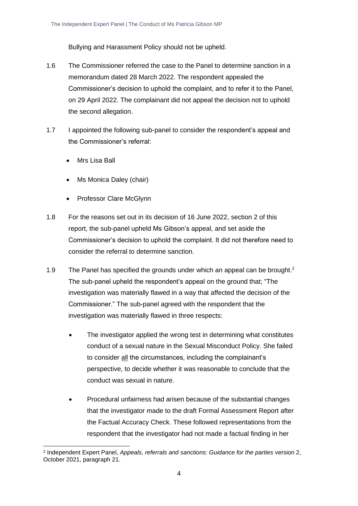Bullying and Harassment Policy should not be upheld.

- 1.6 The Commissioner referred the case to the Panel to determine sanction in a memorandum dated 28 March 2022. The respondent appealed the Commissioner's decision to uphold the complaint, and to refer it to the Panel, on 29 April 2022. The complainant did not appeal the decision not to uphold the second allegation.
- 1.7 I appointed the following sub-panel to consider the respondent's appeal and the Commissioner's referral:
	- Mrs Lisa Ball
	- Ms Monica Daley (chair)
	- Professor Clare McGlynn
- 1.8 For the reasons set out in its decision of 16 June 2022, section 2 of this report, the sub-panel upheld Ms Gibson's appeal, and set aside the Commissioner's decision to uphold the complaint. It did not therefore need to consider the referral to determine sanction.
- 1.9 The Panel has specified the grounds under which an appeal can be brought.<sup>2</sup> The sub-panel upheld the respondent's appeal on the ground that; "The investigation was materially flawed in a way that affected the decision of the Commissioner." The sub-panel agreed with the respondent that the investigation was materially flawed in three respects:
	- The investigator applied the wrong test in determining what constitutes conduct of a sexual nature in the Sexual Misconduct Policy. She failed to consider all the circumstances, including the complainant's perspective, to decide whether it was reasonable to conclude that the conduct was sexual in nature.
	- Procedural unfairness had arisen because of the substantial changes that the investigator made to the draft Formal Assessment Report after the Factual Accuracy Check. These followed representations from the respondent that the investigator had not made a factual finding in her

<sup>2</sup> Independent Expert Panel, *Appeals, referrals and sanctions: Guidance for the parties* version 2, October 2021, paragraph 21.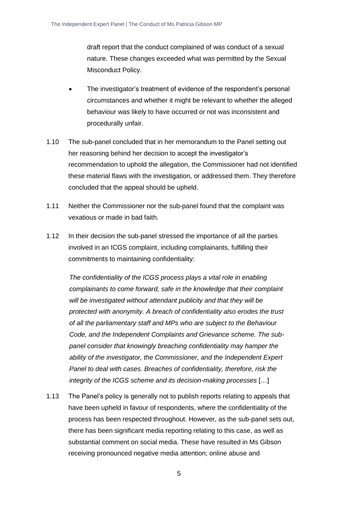draft report that the conduct complained of was conduct of a sexual nature. These changes exceeded what was permitted by the Sexual Misconduct Policy.

- The investigator's treatment of evidence of the respondent's personal circumstances and whether it might be relevant to whether the alleged behaviour was likely to have occurred or not was inconsistent and procedurally unfair.
- 1.10 The sub-panel concluded that in her memorandum to the Panel setting out her reasoning behind her decision to accept the investigator's recommendation to uphold the allegation, the Commissioner had not identified these material flaws with the investigation, or addressed them. They therefore concluded that the appeal should be upheld.
- 1.11 Neither the Commissioner nor the sub-panel found that the complaint was vexatious or made in bad faith.
- 1.12 In their decision the sub-panel stressed the importance of all the parties involved in an ICGS complaint, including complainants, fulfilling their commitments to maintaining confidentiality:

*The confidentiality of the ICGS process plays a vital role in enabling complainants to come forward, safe in the knowledge that their complaint will be investigated without attendant publicity and that they will be protected with anonymity. A breach of confidentiality also erodes the trust of all the parliamentary staff and MPs who are subject to the Behaviour Code, and the Independent Complaints and Grievance scheme. The subpanel consider that knowingly breaching confidentiality may hamper the ability of the investigator, the Commissioner, and the Independent Expert Panel to deal with cases. Breaches of confidentiality, therefore, risk the integrity of the ICGS scheme and its decision-making processes* […]

1.13 The Panel's policy is generally not to publish reports relating to appeals that have been upheld in favour of respondents, where the confidentiality of the process has been respected throughout. However, as the sub-panel sets out, there has been significant media reporting relating to this case, as well as substantial comment on social media. These have resulted in Ms Gibson receiving pronounced negative media attention; online abuse and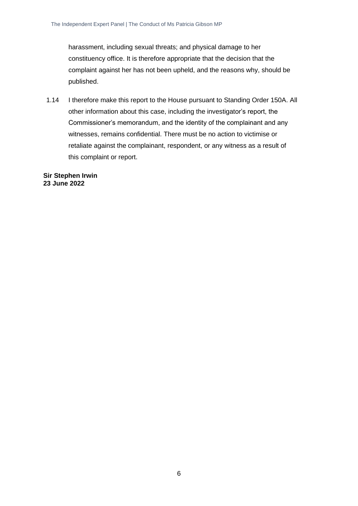harassment, including sexual threats; and physical damage to her constituency office. It is therefore appropriate that the decision that the complaint against her has not been upheld, and the reasons why, should be published.

1.14 I therefore make this report to the House pursuant to Standing Order 150A. All other information about this case, including the investigator's report, the Commissioner's memorandum, and the identity of the complainant and any witnesses, remains confidential. There must be no action to victimise or retaliate against the complainant, respondent, or any witness as a result of this complaint or report.

**Sir Stephen Irwin 23 June 2022**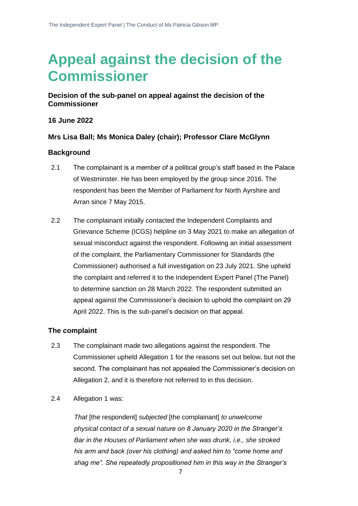### **Appeal against the decision of the Commissioner**

**Decision of the sub-panel on appeal against the decision of the Commissioner**

#### **16 June 2022**

#### **Mrs Lisa Ball; Ms Monica Daley (chair); Professor Clare McGlynn**

#### **Background**

- 2.1 The complainant is a member of a political group's staff based in the Palace of Westminster. He has been employed by the group since 2016. The respondent has been the Member of Parliament for North Ayrshire and Arran since 7 May 2015.
- 2.2 The complainant initially contacted the Independent Complaints and Grievance Scheme (ICGS) helpline on 3 May 2021 to make an allegation of sexual misconduct against the respondent. Following an initial assessment of the complaint, the Parliamentary Commissioner for Standards (the Commissioner) authorised a full investigation on 23 July 2021. She upheld the complaint and referred it to the Independent Expert Panel (The Panel) to determine sanction on 28 March 2022. The respondent submitted an appeal against the Commissioner's decision to uphold the complaint on 29 April 2022. This is the sub-panel's decision on that appeal.

#### **The complaint**

- 2.3 The complainant made two allegations against the respondent. The Commissioner upheld Allegation 1 for the reasons set out below, but not the second. The complainant has not appealed the Commissioner's decision on Allegation 2, and it is therefore not referred to in this decision.
- 2.4 Allegation 1 was:

*That* [the respondent] *subjected* [the complainant] *to unwelcome physical contact of a sexual nature on 8 January 2020 in the Stranger's Bar in the Houses of Parliament when she was drunk, i.e., she stroked his arm and back (over his clothing) and asked him to "come home and shag me". She repeatedly propositioned him in this way in the Stranger's*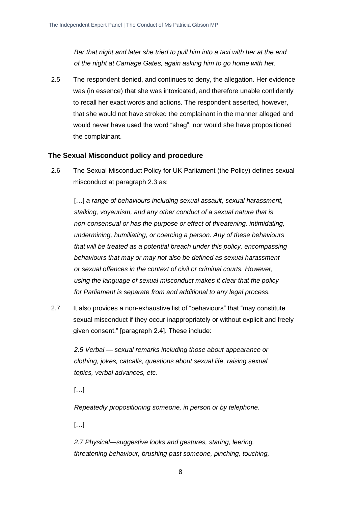*Bar that night and later she tried to pull him into a taxi with her at the end of the night at Carriage Gates, again asking him to go home with her.*

2.5 The respondent denied, and continues to deny, the allegation. Her evidence was (in essence) that she was intoxicated, and therefore unable confidently to recall her exact words and actions. The respondent asserted, however, that she would not have stroked the complainant in the manner alleged and would never have used the word "shag", nor would she have propositioned the complainant.

#### **The Sexual Misconduct policy and procedure**

2.6 The Sexual Misconduct Policy for UK Parliament (the Policy) defines sexual misconduct at paragraph 2.3 as:

[...] *a range of behaviours including sexual assault, sexual harassment, stalking, voyeurism, and any other conduct of a sexual nature that is non-consensual or has the purpose or effect of threatening, intimidating, undermining, humiliating, or coercing a person. Any of these behaviours that will be treated as a potential breach under this policy, encompassing behaviours that may or may not also be defined as sexual harassment or sexual offences in the context of civil or criminal courts. However, using the language of sexual misconduct makes it clear that the policy for Parliament is separate from and additional to any legal process.*

2.7 It also provides a non-exhaustive list of "behaviours" that "may constitute sexual misconduct if they occur inappropriately or without explicit and freely given consent." [paragraph 2.4]. These include:

*2.5 Verbal — sexual remarks including those about appearance or clothing, jokes, catcalls, questions about sexual life, raising sexual topics, verbal advances, etc.*

 $[\ldots]$ 

*Repeatedly propositioning someone, in person or by telephone.*

 $\left[\ldots\right]$ 

*2.7 Physical—suggestive looks and gestures, staring, leering, threatening behaviour, brushing past someone, pinching, touching,*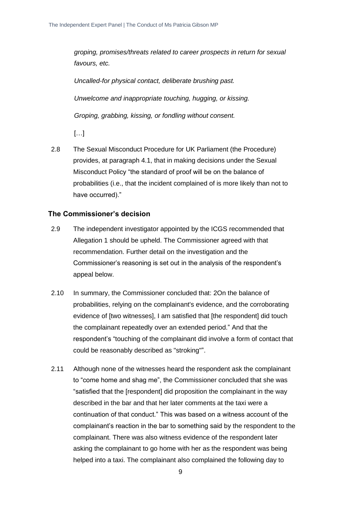*groping, promises/threats related to career prospects in return for sexual favours, etc.*

*Uncalled-for physical contact, deliberate brushing past. Unwelcome and inappropriate touching, hugging, or kissing. Groping, grabbing, kissing, or fondling without consent.*

 $[\ldots]$ 

2.8 The Sexual Misconduct Procedure for UK Parliament (the Procedure) provides, at paragraph 4.1, that in making decisions under the Sexual Misconduct Policy "the standard of proof will be on the balance of probabilities (i.e., that the incident complained of is more likely than not to have occurred)."

#### **The Commissioner's decision**

- 2.9 The independent investigator appointed by the ICGS recommended that Allegation 1 should be upheld. The Commissioner agreed with that recommendation. Further detail on the investigation and the Commissioner's reasoning is set out in the analysis of the respondent's appeal below.
- 2.10 In summary, the Commissioner concluded that: 2On the balance of probabilities, relying on the complainant's evidence, and the corroborating evidence of [two witnesses], I am satisfied that [the respondent] did touch the complainant repeatedly over an extended period." And that the respondent's "touching of the complainant did involve a form of contact that could be reasonably described as "stroking"".
- 2.11 Although none of the witnesses heard the respondent ask the complainant to "come home and shag me", the Commissioner concluded that she was "satisfied that the [respondent] did proposition the complainant in the way described in the bar and that her later comments at the taxi were a continuation of that conduct." This was based on a witness account of the complainant's reaction in the bar to something said by the respondent to the complainant. There was also witness evidence of the respondent later asking the complainant to go home with her as the respondent was being helped into a taxi. The complainant also complained the following day to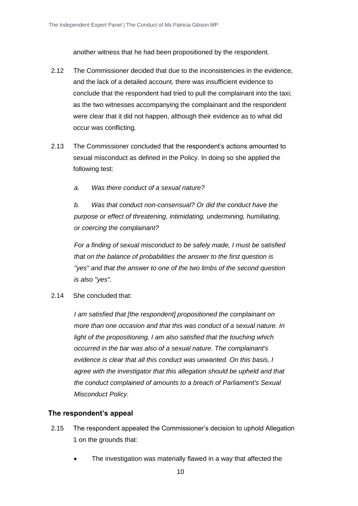another witness that he had been propositioned by the respondent.

- 2.12 The Commissioner decided that due to the inconsistencies in the evidence, and the lack of a detailed account, there was insufficient evidence to conclude that the respondent had tried to pull the complainant into the taxi; as the two witnesses accompanying the complainant and the respondent were clear that it did not happen, although their evidence as to what did occur was conflicting.
- 2.13 The Commissioner concluded that the respondent's actions amounted to sexual misconduct as defined in the Policy. In doing so she applied the following test:
	- *a. Was there conduct of a sexual nature?*

*b. Was that conduct non-consensual? Or did the conduct have the purpose or effect of threatening, intimidating, undermining, humiliating, or coercing the complainant?*

*For a finding of sexual misconduct to be safely made, I must be satisfied that on the balance of probabilities the answer to the first question is "yes" and that the answer to one of the two limbs of the second question is also "yes".*

2.14 She concluded that:

*I am satisfied that [the respondent] propositioned the complainant on more than one occasion and that this was conduct of a sexual nature. In light of the propositioning, I am also satisfied that the touching which occurred in the bar was also of a sexual nature. The complainant's evidence is clear that all this conduct was unwanted. On this basis, I agree with the investigator that this allegation should be upheld and that the conduct complained of amounts to a breach of Parliament's Sexual Misconduct Policy.*

#### **The respondent's appeal**

- 2.15 The respondent appealed the Commissioner's decision to uphold Allegation 1 on the grounds that:
	- The investigation was materially flawed in a way that affected the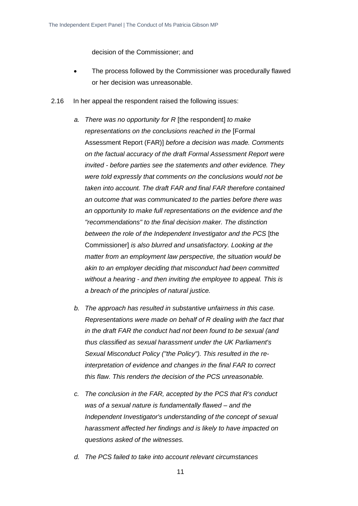decision of the Commissioner; and

- The process followed by the Commissioner was procedurally flawed or her decision was unreasonable.
- 2.16 In her appeal the respondent raised the following issues:
	- *a. There was no opportunity for R* [the respondent] *to make representations on the conclusions reached in the* [Formal Assessment Report (FAR)] *before a decision was made. Comments on the factual accuracy of the draft Formal Assessment Report were invited - before parties see the statements and other evidence. They were told expressly that comments on the conclusions would not be taken into account. The draft FAR and final FAR therefore contained an outcome that was communicated to the parties before there was an opportunity to make full representations on the evidence and the "recommendations" to the final decision maker. The distinction between the role of the Independent Investigator and the PCS* [the Commissioner] *is also blurred and unsatisfactory. Looking at the matter from an employment law perspective, the situation would be akin to an employer deciding that misconduct had been committed without a hearing - and then inviting the employee to appeal. This is a breach of the principles of natural justice.*
	- *b. The approach has resulted in substantive unfairness in this case. Representations were made on behalf of R dealing with the fact that in the draft FAR the conduct had not been found to be sexual (and thus classified as sexual harassment under the UK Parliament's Sexual Misconduct Policy ("the Policy"). This resulted in the reinterpretation of evidence and changes in the final FAR to correct this flaw. This renders the decision of the PCS unreasonable.*
	- *c. The conclusion in the FAR, accepted by the PCS that R's conduct was of a sexual nature is fundamentally flawed – and the Independent Investigator's understanding of the concept of sexual harassment affected her findings and is likely to have impacted on questions asked of the witnesses.*
	- *d. The PCS failed to take into account relevant circumstances*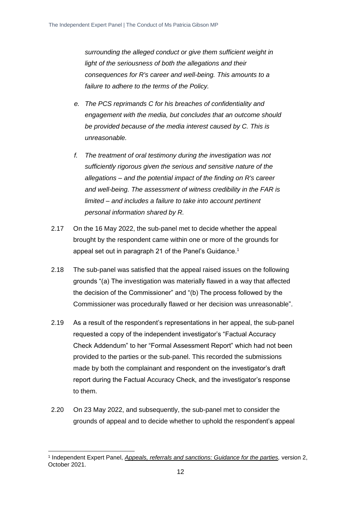*surrounding the alleged conduct or give them sufficient weight in light of the seriousness of both the allegations and their consequences for R's career and well-being. This amounts to a failure to adhere to the terms of the Policy.*

- *e. The PCS reprimands C for his breaches of confidentiality and engagement with the media, but concludes that an outcome should be provided because of the media interest caused by C. This is unreasonable.*
- *f. The treatment of oral testimony during the investigation was not sufficiently rigorous given the serious and sensitive nature of the allegations – and the potential impact of the finding on R's career and well-being. The assessment of witness credibility in the FAR is limited – and includes a failure to take into account pertinent personal information shared by R.*
- 2.17 On the 16 May 2022, the sub-panel met to decide whether the appeal brought by the respondent came within one or more of the grounds for appeal set out in paragraph 21 of the Panel's Guidance.<sup>1</sup>
- 2.18 The sub-panel was satisfied that the appeal raised issues on the following grounds "(a) The investigation was materially flawed in a way that affected the decision of the Commissioner" and "(b) The process followed by the Commissioner was procedurally flawed or her decision was unreasonable".
- 2.19 As a result of the respondent's representations in her appeal, the sub-panel requested a copy of the independent investigator's "Factual Accuracy Check Addendum" to her "Formal Assessment Report" which had not been provided to the parties or the sub-panel. This recorded the submissions made by both the complainant and respondent on the investigator's draft report during the Factual Accuracy Check, and the investigator's response to them.
- 2.20 On 23 May 2022, and subsequently, the sub-panel met to consider the grounds of appeal and to decide whether to uphold the respondent's appeal

<sup>1</sup> Independent Expert Panel, *[Appeals, referrals and sanctions: Guidance for the parties,](https://www.parliament.uk/globalassets/mps-lords--offices/standards-and-financial-interests/independent-expert-panel/guidance-for-parties-on-appeals-referrals-and-sanctions-revised-october-2021.pdf)* version 2, October 2021.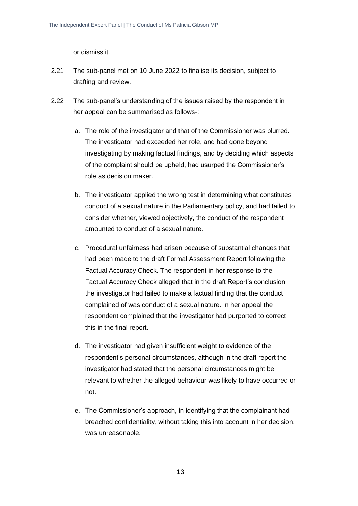or dismiss it.

- 2.21 The sub-panel met on 10 June 2022 to finalise its decision, subject to drafting and review.
- 2.22 The sub-panel's understanding of the issues raised by the respondent in her appeal can be summarised as follows-:
	- a. The role of the investigator and that of the Commissioner was blurred. The investigator had exceeded her role, and had gone beyond investigating by making factual findings, and by deciding which aspects of the complaint should be upheld, had usurped the Commissioner's role as decision maker.
	- b. The investigator applied the wrong test in determining what constitutes conduct of a sexual nature in the Parliamentary policy, and had failed to consider whether, viewed objectively, the conduct of the respondent amounted to conduct of a sexual nature.
	- c. Procedural unfairness had arisen because of substantial changes that had been made to the draft Formal Assessment Report following the Factual Accuracy Check. The respondent in her response to the Factual Accuracy Check alleged that in the draft Report's conclusion, the investigator had failed to make a factual finding that the conduct complained of was conduct of a sexual nature. In her appeal the respondent complained that the investigator had purported to correct this in the final report.
	- d. The investigator had given insufficient weight to evidence of the respondent's personal circumstances, although in the draft report the investigator had stated that the personal circumstances might be relevant to whether the alleged behaviour was likely to have occurred or not.
	- e. The Commissioner's approach, in identifying that the complainant had breached confidentiality, without taking this into account in her decision, was unreasonable.

13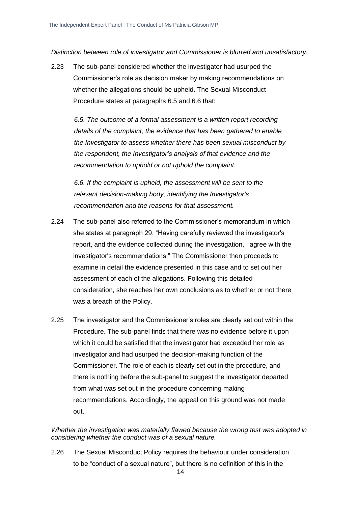*Distinction between role of investigator and Commissioner is blurred and unsatisfactory.*

2.23 The sub-panel considered whether the investigator had usurped the Commissioner's role as decision maker by making recommendations on whether the allegations should be upheld. The Sexual Misconduct Procedure states at paragraphs 6.5 and 6.6 that:

*6.5. The outcome of a formal assessment is a written report recording details of the complaint, the evidence that has been gathered to enable the Investigator to assess whether there has been sexual misconduct by the respondent, the Investigator's analysis of that evidence and the recommendation to uphold or not uphold the complaint.*

*6.6. If the complaint is upheld, the assessment will be sent to the relevant decision-making body, identifying the Investigator's recommendation and the reasons for that assessment.*

- 2.24 The sub-panel also referred to the Commissioner's memorandum in which she states at paragraph 29. "Having carefully reviewed the investigator's report, and the evidence collected during the investigation, I agree with the investigator's recommendations." The Commissioner then proceeds to examine in detail the evidence presented in this case and to set out her assessment of each of the allegations. Following this detailed consideration, she reaches her own conclusions as to whether or not there was a breach of the Policy.
- 2.25 The investigator and the Commissioner's roles are clearly set out within the Procedure. The sub-panel finds that there was no evidence before it upon which it could be satisfied that the investigator had exceeded her role as investigator and had usurped the decision-making function of the Commissioner. The role of each is clearly set out in the procedure, and there is nothing before the sub-panel to suggest the investigator departed from what was set out in the procedure concerning making recommendations. Accordingly, the appeal on this ground was not made out.

*Whether the investigation was materially flawed because the wrong test was adopted in considering whether the conduct was of a sexual nature.*

2.26 The Sexual Misconduct Policy requires the behaviour under consideration to be "conduct of a sexual nature", but there is no definition of this in the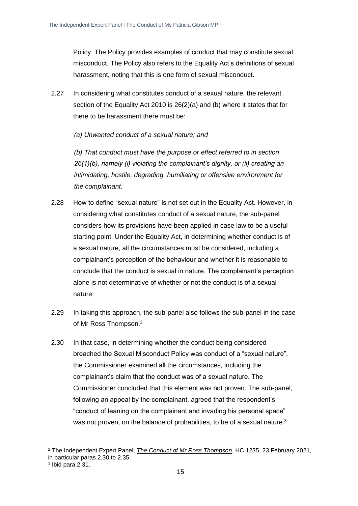Policy. The Policy provides examples of conduct that may constitute sexual misconduct. The Policy also refers to the Equality Act's definitions of sexual harassment, noting that this is one form of sexual misconduct.

- 2.27 In considering what constitutes conduct of a sexual nature, the relevant section of the Equality Act 2010 is 26(2)(a) and (b) where it states that for there to be harassment there must be:
	- *(a) Unwanted conduct of a sexual nature; and*

*(b) That conduct must have the purpose or effect referred to in section 26(1)(b), namely (i) violating the complainant's dignity, or (ii) creating an intimidating, hostile, degrading, humiliating or offensive environment for the complainant.*

- 2.28 How to define "sexual nature" is not set out in the Equality Act. However, in considering what constitutes conduct of a sexual nature, the sub-panel considers how its provisions have been applied in case law to be a useful starting point. Under the Equality Act, in determining whether conduct is of a sexual nature, all the circumstances must be considered, including a complainant's perception of the behaviour and whether it is reasonable to conclude that the conduct is sexual in nature. The complainant's perception alone is not determinative of whether or not the conduct is of a sexual nature.
- 2.29 In taking this approach, the sub-panel also follows the sub-panel in the case of Mr Ross Thompson.<sup>2</sup>
- 2.30 In that case, in determining whether the conduct being considered breached the Sexual Misconduct Policy was conduct of a "sexual nature", the Commissioner examined all the circumstances, including the complainant's claim that the conduct was of a sexual nature. The Commissioner concluded that this element was not proven. The sub-panel, following an appeal by the complainant, agreed that the respondent's "conduct of leaning on the complainant and invading his personal space" was not proven, on the balance of probabilities, to be of a sexual nature.<sup>3</sup>

<sup>2</sup> The Independent Expert Panel, *[The Conduct of Mr Ross Thompson](https://www.parliament.uk/link/5a538a3596274574bbc25be104729c2e.aspx)*, HC 1235, 23 February 2021, in particular paras 2.30 to 2.35.

 $3$  lbid para 2.31.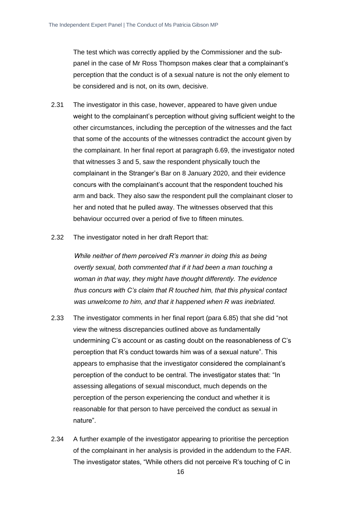The test which was correctly applied by the Commissioner and the subpanel in the case of Mr Ross Thompson makes clear that a complainant's perception that the conduct is of a sexual nature is not the only element to be considered and is not, on its own, decisive.

- 2.31 The investigator in this case, however, appeared to have given undue weight to the complainant's perception without giving sufficient weight to the other circumstances, including the perception of the witnesses and the fact that some of the accounts of the witnesses contradict the account given by the complainant. In her final report at paragraph 6.69, the investigator noted that witnesses 3 and 5, saw the respondent physically touch the complainant in the Stranger's Bar on 8 January 2020, and their evidence concurs with the complainant's account that the respondent touched his arm and back. They also saw the respondent pull the complainant closer to her and noted that he pulled away. The witnesses observed that this behaviour occurred over a period of five to fifteen minutes.
- 2.32 The investigator noted in her draft Report that:

*While neither of them perceived R's manner in doing this as being overtly sexual, both commented that if it had been a man touching a woman in that way, they might have thought differently. The evidence thus concurs with C's claim that R touched him, that this physical contact was unwelcome to him, and that it happened when R was inebriated.*

- 2.33 The investigator comments in her final report (para 6.85) that she did "not view the witness discrepancies outlined above as fundamentally undermining C's account or as casting doubt on the reasonableness of C's perception that R's conduct towards him was of a sexual nature". This appears to emphasise that the investigator considered the complainant's perception of the conduct to be central. The investigator states that: "In assessing allegations of sexual misconduct, much depends on the perception of the person experiencing the conduct and whether it is reasonable for that person to have perceived the conduct as sexual in nature".
- 2.34 A further example of the investigator appearing to prioritise the perception of the complainant in her analysis is provided in the addendum to the FAR. The investigator states, "While others did not perceive R's touching of C in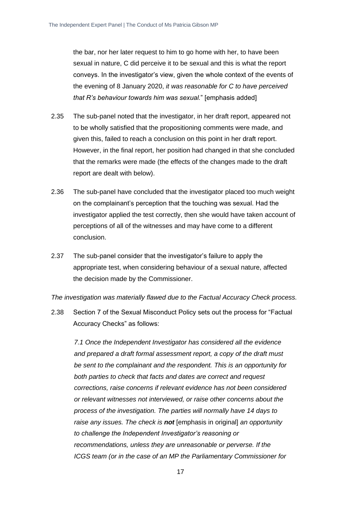the bar, nor her later request to him to go home with her, to have been sexual in nature, C did perceive it to be sexual and this is what the report conveys. In the investigator's view, given the whole context of the events of the evening of 8 January 2020, *it was reasonable for C to have perceived that R's behaviour towards him was sexual.*" [emphasis added]

- 2.35 The sub-panel noted that the investigator, in her draft report, appeared not to be wholly satisfied that the propositioning comments were made, and given this, failed to reach a conclusion on this point in her draft report. However, in the final report, her position had changed in that she concluded that the remarks were made (the effects of the changes made to the draft report are dealt with below).
- 2.36 The sub-panel have concluded that the investigator placed too much weight on the complainant's perception that the touching was sexual. Had the investigator applied the test correctly, then she would have taken account of perceptions of all of the witnesses and may have come to a different conclusion.
- 2.37 The sub-panel consider that the investigator's failure to apply the appropriate test, when considering behaviour of a sexual nature, affected the decision made by the Commissioner.

*The investigation was materially flawed due to the Factual Accuracy Check process.*

2.38 Section 7 of the Sexual Misconduct Policy sets out the process for "Factual Accuracy Checks" as follows:

*7.1 Once the Independent Investigator has considered all the evidence and prepared a draft formal assessment report, a copy of the draft must be sent to the complainant and the respondent. This is an opportunity for both parties to check that facts and dates are correct and request corrections, raise concerns if relevant evidence has not been considered or relevant witnesses not interviewed, or raise other concerns about the process of the investigation. The parties will normally have 14 days to raise any issues. The check is not* [emphasis in original] *an opportunity to challenge the Independent Investigator's reasoning or recommendations, unless they are unreasonable or perverse. If the ICGS team (or in the case of an MP the Parliamentary Commissioner for*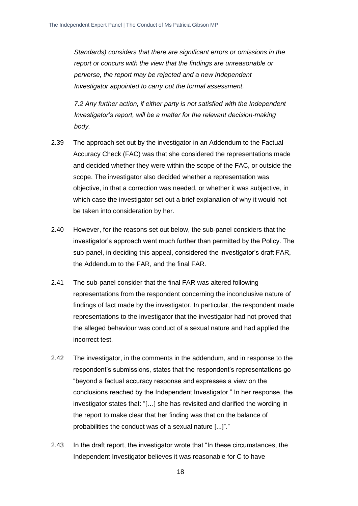*Standards) considers that there are significant errors or omissions in the report or concurs with the view that the findings are unreasonable or perverse, the report may be rejected and a new Independent Investigator appointed to carry out the formal assessment.*

*7.2 Any further action, if either party is not satisfied with the Independent Investigator's report, will be a matter for the relevant decision-making body.*

- 2.39 The approach set out by the investigator in an Addendum to the Factual Accuracy Check (FAC) was that she considered the representations made and decided whether they were within the scope of the FAC, or outside the scope. The investigator also decided whether a representation was objective, in that a correction was needed, or whether it was subjective, in which case the investigator set out a brief explanation of why it would not be taken into consideration by her.
- 2.40 However, for the reasons set out below, the sub-panel considers that the investigator's approach went much further than permitted by the Policy. The sub-panel, in deciding this appeal, considered the investigator's draft FAR, the Addendum to the FAR, and the final FAR.
- 2.41 The sub-panel consider that the final FAR was altered following representations from the respondent concerning the inconclusive nature of findings of fact made by the investigator. In particular, the respondent made representations to the investigator that the investigator had not proved that the alleged behaviour was conduct of a sexual nature and had applied the incorrect test.
- 2.42 The investigator, in the comments in the addendum, and in response to the respondent's submissions, states that the respondent's representations go "beyond a factual accuracy response and expresses a view on the conclusions reached by the Independent Investigator." In her response, the investigator states that: "[…] she has revisited and clarified the wording in the report to make clear that her finding was that on the balance of probabilities the conduct was of a sexual nature [...]"."
- 2.43 In the draft report, the investigator wrote that "In these circumstances, the Independent Investigator believes it was reasonable for C to have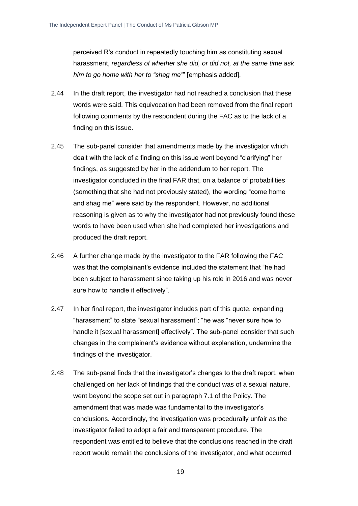perceived R's conduct in repeatedly touching him as constituting sexual harassment, *regardless of whether she did, or did not, at the same time ask him to go home with her to "shag me"*" [emphasis added].

- 2.44 In the draft report, the investigator had not reached a conclusion that these words were said. This equivocation had been removed from the final report following comments by the respondent during the FAC as to the lack of a finding on this issue.
- 2.45 The sub-panel consider that amendments made by the investigator which dealt with the lack of a finding on this issue went beyond "clarifying" her findings, as suggested by her in the addendum to her report. The investigator concluded in the final FAR that, on a balance of probabilities (something that she had not previously stated), the wording "come home and shag me" were said by the respondent. However, no additional reasoning is given as to why the investigator had not previously found these words to have been used when she had completed her investigations and produced the draft report.
- 2.46 A further change made by the investigator to the FAR following the FAC was that the complainant's evidence included the statement that "he had been subject to harassment since taking up his role in 2016 and was never sure how to handle it effectively".
- 2.47 In her final report, the investigator includes part of this quote, expanding "harassment" to state "sexual harassment": "he was "never sure how to handle it [sexual harassment] effectively". The sub-panel consider that such changes in the complainant's evidence without explanation, undermine the findings of the investigator.
- 2.48 The sub-panel finds that the investigator's changes to the draft report, when challenged on her lack of findings that the conduct was of a sexual nature, went beyond the scope set out in paragraph 7.1 of the Policy. The amendment that was made was fundamental to the investigator's conclusions. Accordingly, the investigation was procedurally unfair as the investigator failed to adopt a fair and transparent procedure. The respondent was entitled to believe that the conclusions reached in the draft report would remain the conclusions of the investigator, and what occurred

19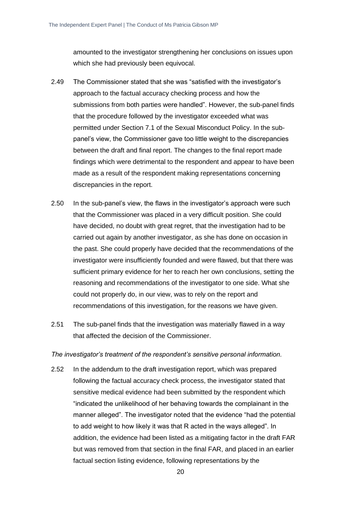amounted to the investigator strengthening her conclusions on issues upon which she had previously been equivocal.

- 2.49 The Commissioner stated that she was "satisfied with the investigator's approach to the factual accuracy checking process and how the submissions from both parties were handled". However, the sub-panel finds that the procedure followed by the investigator exceeded what was permitted under Section 7.1 of the Sexual Misconduct Policy. In the subpanel's view, the Commissioner gave too little weight to the discrepancies between the draft and final report. The changes to the final report made findings which were detrimental to the respondent and appear to have been made as a result of the respondent making representations concerning discrepancies in the report.
- 2.50 In the sub-panel's view, the flaws in the investigator's approach were such that the Commissioner was placed in a very difficult position. She could have decided, no doubt with great regret, that the investigation had to be carried out again by another investigator, as she has done on occasion in the past. She could properly have decided that the recommendations of the investigator were insufficiently founded and were flawed, but that there was sufficient primary evidence for her to reach her own conclusions, setting the reasoning and recommendations of the investigator to one side. What she could not properly do, in our view, was to rely on the report and recommendations of this investigation, for the reasons we have given.
- 2.51 The sub-panel finds that the investigation was materially flawed in a way that affected the decision of the Commissioner.

#### *The investigator's treatment of the respondent's sensitive personal information.*

2.52 In the addendum to the draft investigation report, which was prepared following the factual accuracy check process, the investigator stated that sensitive medical evidence had been submitted by the respondent which "indicated the unlikelihood of her behaving towards the complainant in the manner alleged". The investigator noted that the evidence "had the potential to add weight to how likely it was that R acted in the ways alleged". In addition, the evidence had been listed as a mitigating factor in the draft FAR but was removed from that section in the final FAR, and placed in an earlier factual section listing evidence, following representations by the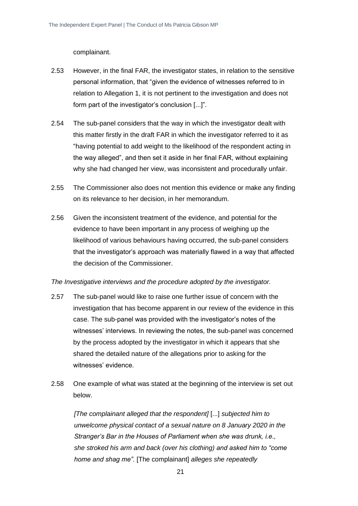complainant.

- 2.53 However, in the final FAR, the investigator states, in relation to the sensitive personal information, that "given the evidence of witnesses referred to in relation to Allegation 1, it is not pertinent to the investigation and does not form part of the investigator's conclusion [...]".
- 2.54 The sub-panel considers that the way in which the investigator dealt with this matter firstly in the draft FAR in which the investigator referred to it as "having potential to add weight to the likelihood of the respondent acting in the way alleged", and then set it aside in her final FAR, without explaining why she had changed her view, was inconsistent and procedurally unfair.
- 2.55 The Commissioner also does not mention this evidence or make any finding on its relevance to her decision, in her memorandum.
- 2.56 Given the inconsistent treatment of the evidence, and potential for the evidence to have been important in any process of weighing up the likelihood of various behaviours having occurred, the sub-panel considers that the investigator's approach was materially flawed in a way that affected the decision of the Commissioner.

#### *The Investigative interviews and the procedure adopted by the investigator.*

- 2.57 The sub-panel would like to raise one further issue of concern with the investigation that has become apparent in our review of the evidence in this case. The sub-panel was provided with the investigator's notes of the witnesses' interviews. In reviewing the notes, the sub-panel was concerned by the process adopted by the investigator in which it appears that she shared the detailed nature of the allegations prior to asking for the witnesses' evidence.
- 2.58 One example of what was stated at the beginning of the interview is set out below.

*[The complainant alleged that the respondent]* [...] *subjected him to unwelcome physical contact of a sexual nature on 8 January 2020 in the Stranger's Bar in the Houses of Parliament when she was drunk, i.e., she stroked his arm and back (over his clothing) and asked him to "come home and shag me".* [The complainant] *alleges she repeatedly*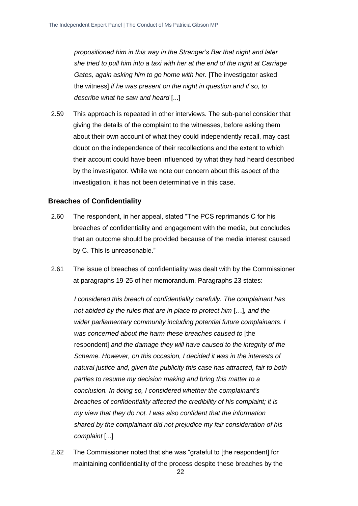*propositioned him in this way in the Stranger's Bar that night and later she tried to pull him into a taxi with her at the end of the night at Carriage Gates, again asking him to go home with her.* [The investigator asked the witness] *if he was present on the night in question and if so, to describe what he saw and heard* [...]

2.59 This approach is repeated in other interviews. The sub-panel consider that giving the details of the complaint to the witnesses, before asking them about their own account of what they could independently recall, may cast doubt on the independence of their recollections and the extent to which their account could have been influenced by what they had heard described by the investigator. While we note our concern about this aspect of the investigation, it has not been determinative in this case.

#### **Breaches of Confidentiality**

- 2.60 The respondent, in her appeal, stated "The PCS reprimands C for his breaches of confidentiality and engagement with the media, but concludes that an outcome should be provided because of the media interest caused by C. This is unreasonable."
- 2.61 The issue of breaches of confidentiality was dealt with by the Commissioner at paragraphs 19-25 of her memorandum. Paragraphs 23 states:

*I considered this breach of confidentiality carefully. The complainant has not abided by the rules that are in place to protect him [...], and the wider parliamentary community including potential future complainants. I was concerned about the harm these breaches caused to* [the respondent] *and the damage they will have caused to the integrity of the Scheme. However, on this occasion, I decided it was in the interests of natural justice and, given the publicity this case has attracted, fair to both parties to resume my decision making and bring this matter to a conclusion. In doing so, I considered whether the complainant's breaches of confidentiality affected the credibility of his complaint; it is my view that they do not. I was also confident that the information shared by the complainant did not prejudice my fair consideration of his complaint* [...]

2.62 The Commissioner noted that she was "grateful to [the respondent] for maintaining confidentiality of the process despite these breaches by the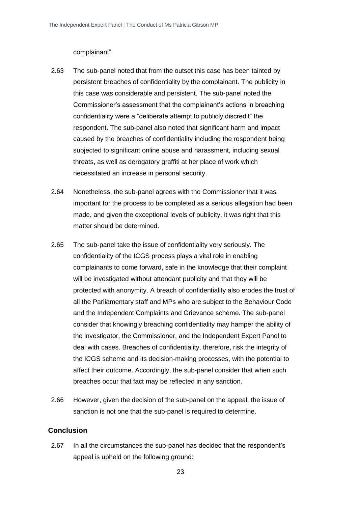complainant".

- 2.63 The sub-panel noted that from the outset this case has been tainted by persistent breaches of confidentiality by the complainant. The publicity in this case was considerable and persistent. The sub-panel noted the Commissioner's assessment that the complainant's actions in breaching confidentiality were a "deliberate attempt to publicly discredit" the respondent. The sub-panel also noted that significant harm and impact caused by the breaches of confidentiality including the respondent being subjected to significant online abuse and harassment, including sexual threats, as well as derogatory graffiti at her place of work which necessitated an increase in personal security.
- 2.64 Nonetheless, the sub-panel agrees with the Commissioner that it was important for the process to be completed as a serious allegation had been made, and given the exceptional levels of publicity, it was right that this matter should be determined.
- 2.65 The sub-panel take the issue of confidentiality very seriously. The confidentiality of the ICGS process plays a vital role in enabling complainants to come forward, safe in the knowledge that their complaint will be investigated without attendant publicity and that they will be protected with anonymity. A breach of confidentiality also erodes the trust of all the Parliamentary staff and MPs who are subject to the Behaviour Code and the Independent Complaints and Grievance scheme. The sub-panel consider that knowingly breaching confidentiality may hamper the ability of the investigator, the Commissioner, and the Independent Expert Panel to deal with cases. Breaches of confidentiality, therefore, risk the integrity of the ICGS scheme and its decision-making processes, with the potential to affect their outcome. Accordingly, the sub-panel consider that when such breaches occur that fact may be reflected in any sanction.
- 2.66 However, given the decision of the sub-panel on the appeal, the issue of sanction is not one that the sub-panel is required to determine.

#### **Conclusion**

2.67 In all the circumstances the sub-panel has decided that the respondent's appeal is upheld on the following ground: